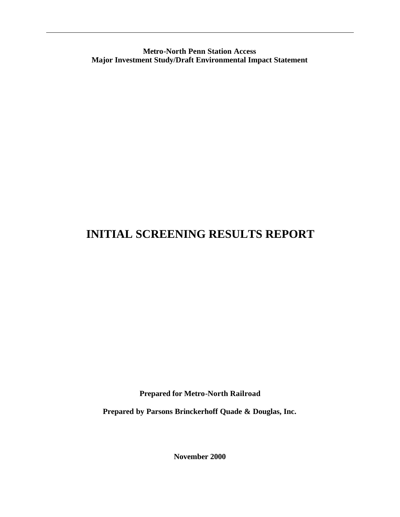**Metro-North Penn Station Access Major Investment Study/Draft Environmental Impact Statement**

# **INITIAL SCREENING RESULTS REPORT**

**Prepared for Metro-North Railroad**

**Prepared by Parsons Brinckerhoff Quade & Douglas, Inc.**

**November 2000**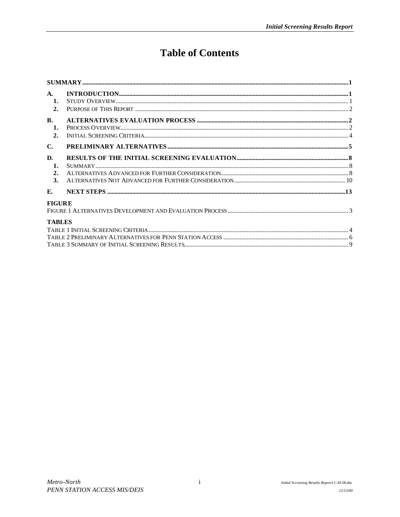# **Table of Contents**

| $\mathbf{A}$ .<br>$\mathbf{1}$ .<br>2. |  |
|----------------------------------------|--|
| $\mathbf{R}$ .<br>$\mathbf{1}$ .<br>2. |  |
| $\mathbf{C}$ .                         |  |
| D.<br>1.<br>2.<br>3.                   |  |
| E.                                     |  |
| <b>FIGURE</b>                          |  |
| <b>TABLES</b>                          |  |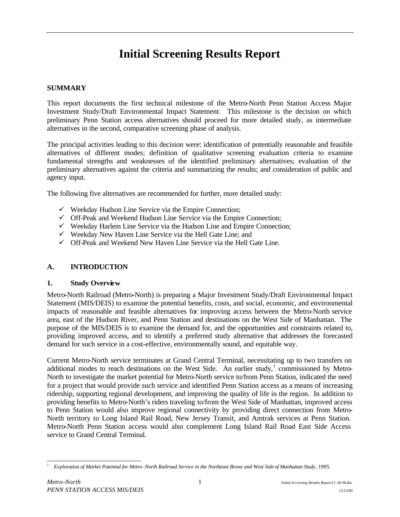# **Initial Screening Results Report**

#### **SUMMARY**

This report documents the first technical milestone of the Metro-North Penn Station Access Major Investment Study/Draft Environmental Impact Statement. This milestone is the decision on which preliminary Penn Station access alternatives should proceed for more detailed study, as intermediate alternatives in the second, comparative screening phase of analysis.

The principal activities leading to this decision were: identification of potentially reasonable and feasible alternatives of different modes; definition of qualitative screening evaluation criteria to examine fundamental strengths and weaknesses of the identified preliminary alternatives; evaluation of the preliminary alternatives against the criteria and summarizing the results; and consideration of public and agency input.

The following five alternatives are recommended for further, more detailed study:

- $\checkmark$  Weekday Hudson Line Service via the Empire Connection;
- $\checkmark$  Off-Peak and Weekend Hudson Line Service via the Empire Connection;
- $\checkmark$  Weekday Harlem Line Service via the Hudson Line and Empire Connection;
- $\checkmark$  Weekday New Haven Line Service via the Hell Gate Line; and
- $\checkmark$  Off-Peak and Weekend New Haven Line Service via the Hell Gate Line.

#### **A. INTRODUCTION**

#### **1. Study Overview**

Metro-North Railroad (Metro-North) is preparing a Major Investment Study/Draft Environmental Impact Statement (MIS/DEIS) to examine the potential benefits, costs, and social, economic, and environmental impacts of reasonable and feasible alternatives for improving access between the Metro-North service area, east of the Hudson River, and Penn Station and destinations on the West Side of Manhattan. The purpose of the MIS/DEIS is to examine the demand for, and the opportunities and constraints related to, providing improved access, and to identify a preferred study alternative that addresses the forecasted demand for such service in a cost-effective, environmentally sound, and equitable way.

Current Metro-North service terminates at Grand Central Terminal, necessitating up to two transfers on additional modes to reach destinations on the West Side. An earlier study,<sup>1</sup> commissioned by Metro-North to investigate the market potential for Metro-North service to/from Penn Station, indicated the need for a project that would provide such service and identified Penn Station access as a means of increasing ridership, supporting regional development, and improving the quality of life in the region. In addition to providing benefits to Metro-North's riders traveling to/from the West Side of Manhattan, improved access to Penn Station would also improve regional connectivity by providing direct connection from Metro-North territory to Long Island Rail Road, New Jersey Transit, and Amtrak services at Penn Station. Metro-North Penn Station access would also complement Long Island Rail Road East Side Access service to Grand Central Terminal.

l <sup>1</sup> *Exploration of Market Potential for Metro -North Railroad Service in the Northeast Bronx and West Side of Manhattan Study*, 1995.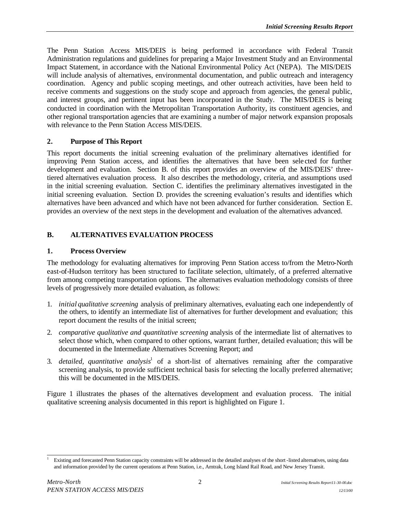The Penn Station Access MIS/DEIS is being performed in accordance with Federal Transit Administration regulations and guidelines for preparing a Major Investment Study and an Environmental Impact Statement, in accordance with the National Environmental Policy Act (NEPA). The MIS/DEIS will include analysis of alternatives, environmental documentation, and public outreach and interagency coordination. Agency and public scoping meetings, and other outreach activities, have been held to receive comments and suggestions on the study scope and approach from agencies, the general public, and interest groups, and pertinent input has been incorporated in the Study. The MIS/DEIS is being conducted in coordination with the Metropolitan Transportation Authority, its constituent agencies, and other regional transportation agencies that are examining a number of major network expansion proposals with relevance to the Penn Station Access MIS/DEIS.

#### **2. Purpose of This Report**

This report documents the initial screening evaluation of the preliminary alternatives identified for improving Penn Station access, and identifies the alternatives that have been sele cted for further development and evaluation. Section B. of this report provides an overview of the MIS/DEIS' threetiered alternatives evaluation process. It also describes the methodology, criteria, and assumptions used in the initial screening evaluation. Section C. identifies the preliminary alternatives investigated in the initial screening evaluation. Section D. provides the screening evaluation's results and identifies which alternatives have been advanced and which have not been advanced for further consideration. Section E. provides an overview of the next steps in the development and evaluation of the alternatives advanced.

## **B. ALTERNATIVES EVALUATION PROCESS**

#### **1. Process Overview**

The methodology for evaluating alternatives for improving Penn Station access to/from the Metro-North east-of-Hudson territory has been structured to facilitate selection, ultimately, of a preferred alternative from among competing transportation options. The alternatives evaluation methodology consists of three levels of progressively more detailed evaluation, as follows:

- 1. *initial qualitative screening* analysis of preliminary alternatives, evaluating each one independently of the others, to identify an intermediate list of alternatives for further development and evaluation; this report document the results of the initial screen;
- 2. *comparative qualitative and quantitative screening* analysis of the intermediate list of alternatives to select those which, when compared to other options, warrant further, detailed evaluation; this will be documented in the Intermediate Alternatives Screening Report; and
- 3. *detailed, quantitative analysis*<sup>1</sup> of a short-list of alternatives remaining after the comparative screening analysis, to provide sufficient technical basis for selecting the locally preferred alternative; this will be documented in the MIS/DEIS.

Figure 1 illustrates the phases of the alternatives development and evaluation process. The initial qualitative screening analysis documented in this report is highlighted on Figure 1.

l <sup>1</sup> Existing and forecasted Penn Station capacity constraints will be addressed in the detailed analyses of the short -listed alternatives, using data and information provided by the current operations at Penn Station, i.e., Amtrak, Long Island Rail Road, and New Jersey Transit.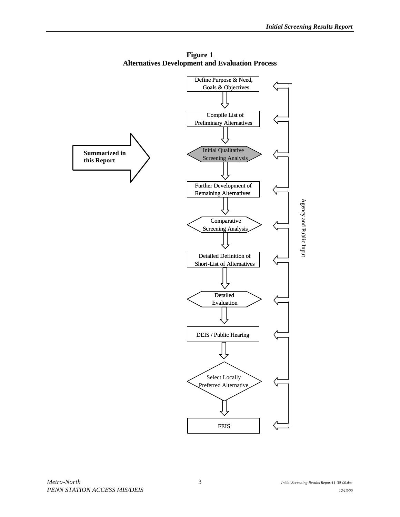

**Figure 1 Alternatives Development and Evaluation Process**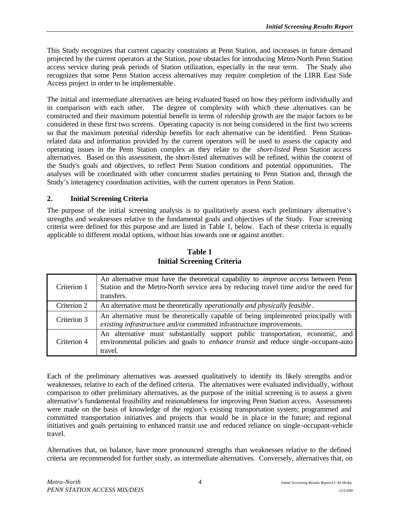This Study recognizes that current capacity constraints at Penn Station, and increases in future demand projected by the current operators at the Station, pose obstacles for introducing Metro-North Penn Station access service during peak periods of Station utilization, especially in the near term. The Study also recognizes that some Penn Station access alternatives may require completion of the LIRR East Side Access project in order to be implementable .

The initial and intermediate alternatives are being evaluated based on how they perform individually and in comparison with each other. The degree of complexity with which these alternatives can be constructed and their maximum potential benefit in terms of ridership growth are the major factors to be considered in these first two screens. Operating capacity is not being considered in the first two screens so that the maximum potential ridership benefits for each alternative can be identified. Penn Stationrelated data and information provided by the current operators will be used to assess the capacity and operating issues in the Penn Station complex as they relate to the *short-listed* Penn Station access alternatives. Based on this assessment, the short-listed alternatives will be refined, within the context of the Study's goals and objectives, to reflect Penn Station conditions and potential opportunities. The analyses will be coordinated with other concurrent studies pertaining to Penn Station and, through the Study's interagency coordination activities, with the current operators in Penn Station.

## **2. Initial Screening Criteria**

The purpose of the initial screening analysis is to qualitatively assess each preliminary alternative's strengths and weaknesses relative to the fundamental goals and objectives of the Study. Four screening criteria were defined for this purpose and are listed in Table 1, below. Each of these criteria is equally applicable to different modal options, without bias towards one or against another.

| Criterion 1 | An alternative must have the theoretical capability to <i>improve access</i> between Penn<br>Station and the Metro-North service area by reducing travel time and/or the need for<br>transfers. |  |  |
|-------------|-------------------------------------------------------------------------------------------------------------------------------------------------------------------------------------------------|--|--|
| Criterion 2 | An alternative must be theoretically <i>operationally and physically feasible</i> .                                                                                                             |  |  |
| Criterion 3 | An alternative must be theoretically capable of being implemented principally with<br>existing infrastructure and/or committed infrastructure improvements.                                     |  |  |
| Criterion 4 | An alternative must substantially support public transportation, economic, and<br>environmental policies and goals to <i>enhance transit</i> and reduce single-occupant-auto<br>travel.         |  |  |

## **Table 1 Initial Screening Criteria**

Each of the preliminary alternatives was assessed qualitatively to identify its likely strengths and/or weaknesses, relative to each of the defined criteria. The alternatives were evaluated individually, without comparison to other preliminary alternatives, as the purpose of the initial screening is to assess a given alternative's fundamental feasibility and reasonableness for improving Penn Station access. Assessments were made on the basis of knowledge of the region's existing transportation system; programmed and committed transportation initiatives and projects that would be in pla ce in the future; and regional initiatives and goals pertaining to enhanced transit use and reduced reliance on single -occupant-vehicle travel.

Alternatives that, on balance, have more pronounced strengths than weaknesses relative to the defined criteria are recommended for further study, as intermediate alternatives. Conversely, alternatives that, on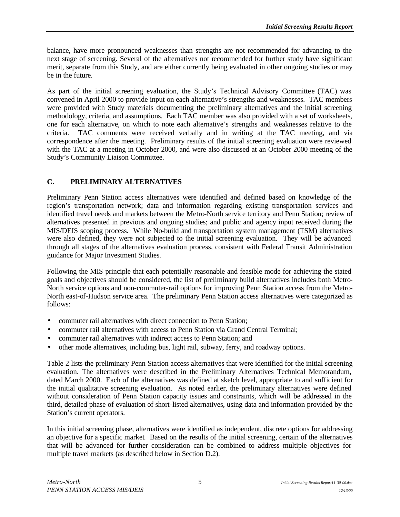balance, have more pronounced weaknesses than strengths are not recommended for advancing to the next stage of screening. Several of the alternatives not recommended for further study have significant merit, separate from this Study, and are either currently being evaluated in other ongoing studies or may be in the future.

As part of the initial screening evaluation, the Study's Technical Advisory Committee (TAC) was convened in April 2000 to provide input on each alternative's strengths and weaknesses. TAC members were provided with Study materials documenting the preliminary alternatives and the initial screening methodology, criteria, and assumptions. Each TAC member was also provided with a set of worksheets, one for each alternative, on which to note each alternative's strengths and weaknesses relative to the criteria. TAC comments were received verbally and in writing at the TAC meeting, and via correspondence after the meeting. Preliminary results of the initial screening evaluation were reviewed with the TAC at a meeting in October 2000, and were also discussed at an October 2000 meeting of the Study's Community Liaison Committee.

## **C. PRELIMINARY ALTERNATIVES**

Preliminary Penn Station access alternatives were identified and defined based on knowledge of the region's transportation network; data and information regarding existing transportation services and identified travel needs and markets between the Metro-North service territory and Penn Station; review of alternatives presented in previous and ongoing studies; and public and agency input received during the MIS/DEIS scoping process. While No-build and transportation system management (TSM) alternatives were also defined, they were not subjected to the initial screening evaluation. They will be advanced through all stages of the alternatives evaluation process, consistent with Federal Transit Administration guidance for Major Investment Studies.

Following the MIS principle that each potentially reasonable and feasible mode for achieving the stated goals and objectives should be considered, the list of preliminary build alternatives includes both Metro-North service options and non-commuter-rail options for improving Penn Station access from the Metro-North east-of-Hudson service area. The preliminary Penn Station access alternatives were categorized as follows:

- commuter rail alternatives with direct connection to Penn Station:
- commuter rail alternatives with access to Penn Station via Grand Central Terminal;
- commuter rail alternatives with indirect access to Penn Station; and
- other mode alternatives, including bus, light rail, subway, ferry, and roadway options.

Table 2 lists the preliminary Penn Station access alternatives that were identified for the initial screening evaluation. The alternatives were described in the Preliminary Alternatives Technical Memorandum, dated March 2000. Each of the alternatives was defined at sketch level, appropriate to and sufficient for the initial qualitative screening evaluation. As noted earlier, the preliminary alternatives were defined without consideration of Penn Station capacity issues and constraints, which will be addressed in the third, detailed phase of evaluation of short-listed alternatives, using data and information provided by the Station's current operators.

In this initial screening phase, alternatives were identified as independent, discrete options for addressing an objective for a specific market. Based on the results of the initial screening, certain of the alternatives that will be advanced for further consideration can be combined to address multiple objectives for multiple travel markets (as described below in Section D.2).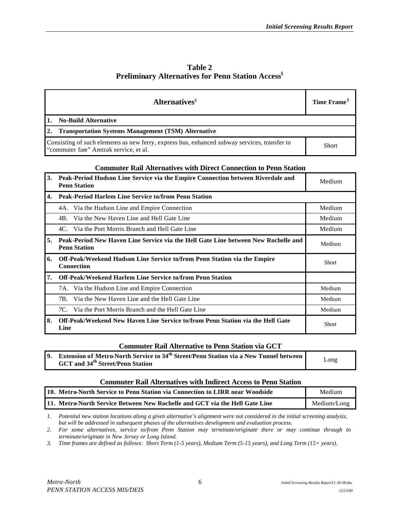| <b>Table 2</b>                                                      |  |
|---------------------------------------------------------------------|--|
| <b>Preliminary Alternatives for Penn Station Access<sup>1</sup></b> |  |

| Alternatives <sup>2</sup>                                                                                                              | Time Frame <sup>3</sup> |  |  |
|----------------------------------------------------------------------------------------------------------------------------------------|-------------------------|--|--|
| <b>No-Build Alternative</b>                                                                                                            |                         |  |  |
| <b>Transportation Systems Management (TSM) Alternative</b>                                                                             |                         |  |  |
| Consisting of such elements as new ferry, express bus, enhanced subway services, transfer to<br>"commuter fare" Amtrak service, et al. | <b>Short</b>            |  |  |

#### **Commuter Rail Alternatives with Direct Connection to Penn Station**

| 3. | Peak-Period Hudson Line Service via the Empire Connection between Riverdale and<br><b>Penn Station</b>    | Medium |
|----|-----------------------------------------------------------------------------------------------------------|--------|
| 4. | <b>Peak-Period Harlem Line Service to/from Penn Station</b>                                               |        |
|    | 4A. Via the Hudson Line and Empire Connection                                                             | Medium |
|    | Via the New Haven Line and Hell Gate Line<br>4B.                                                          | Medium |
|    | Via the Port Morris Branch and Hell Gate Line<br>4C.                                                      | Medium |
| 5. | Peak-Period New Haven Line Service via the Hell Gate Line between New Rochelle and<br><b>Penn Station</b> | Medium |
| 6. | Off-Peak/Weekend Hudson Line Service to/from Penn Station via the Empire<br><b>Connection</b>             | Short  |
| 7. | <b>Off-Peak/Weekend Harlem Line Service to/from Penn Station</b>                                          |        |
|    | 7A. Via the Hudson Line and Empire Connection                                                             | Medium |
|    | Via the New Haven Line and the Hell Gate Line<br>7B.                                                      | Medium |
|    | Via the Port Morris Branch and the Hell Gate Line<br>7C.                                                  | Medium |
| 8. | Off-Peak/Weekend New Haven Line Service to/from Penn Station via the Hell Gate<br>Line                    | Short  |

#### **Commuter Rail Alternative to Penn Station via GCT**

| 9. Extension of Metro-North Service to 34 <sup>th</sup> Street/Penn Station via a New Tunnel between |              |
|------------------------------------------------------------------------------------------------------|--------------|
| <b>GCT</b> and 34 <sup>th</sup> Street/Penn Station                                                  | $\omega$ ong |

#### **Commuter Rail Alternatives with Indirect Access to Penn Station**

| 110. Metro-North Service to Penn Station via Connection to LIRR near Woodside | Medium      |
|-------------------------------------------------------------------------------|-------------|
| [11. Metro-North Service Between New Rochelle and GCT via the Hell Gate Line  | Medium/Long |

*1. Potential new station locations along a given alternative's alignment were not considered in the initial screening analysis, but will be addressed in subsequent phases of the alternatives development and evaluation process.* 

*2. For some alternatives, service to/from Penn Station may terminate/originate there or may continue through to terminate/originate in New Jersey or Long Island.*

*3. Time frames are defined as follows: Short Term (1-5 years), Medium Term (5-15 years), and Long Term (15+ years).*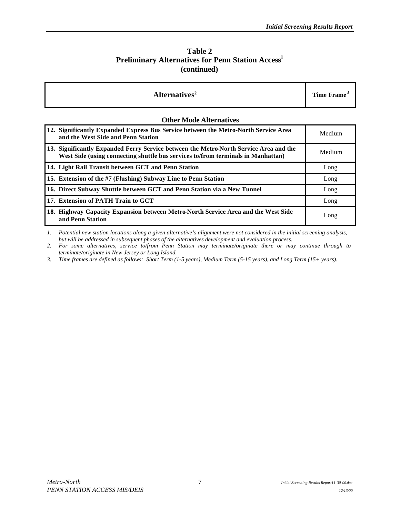#### **Table 2 Preliminary Alternatives for Penn Station Access<sup>1</sup> (continued)**

| Alternatives <sup>2</sup>                                                                                                                                                 | Time Frame <sup>3</sup> |  |  |
|---------------------------------------------------------------------------------------------------------------------------------------------------------------------------|-------------------------|--|--|
| <b>Other Mode Alternatives</b>                                                                                                                                            |                         |  |  |
| 12. Significantly Expanded Express Bus Service between the Metro-North Service Area<br>and the West Side and Penn Station                                                 | Medium                  |  |  |
| 13. Significantly Expanded Ferry Service between the Metro-North Service Area and the<br>West Side (using connecting shuttle bus services to/from terminals in Manhattan) | Medium                  |  |  |
| 14. Light Rail Transit between GCT and Penn Station                                                                                                                       | Long                    |  |  |
| 15. Extension of the #7 (Flushing) Subway Line to Penn Station                                                                                                            | Long                    |  |  |
| 16. Direct Subway Shuttle between GCT and Penn Station via a New Tunnel                                                                                                   | Long                    |  |  |
| 17. Extension of PATH Train to GCT                                                                                                                                        | Long                    |  |  |
| 18. Highway Capacity Expansion between Metro-North Service Area and the West Side<br>and Penn Station                                                                     | Long                    |  |  |

*1. Potential new station locations along a given alternative's alignment were not considered in the initial screening analysis, but will be addressed in subsequent phases of the alternatives development and evaluation process.* 

*2. For some alternatives, service to/from Penn Station may terminate/originate there or may continue through to terminate/originate in New Jersey or Long Island.*

*3. Time frames are defined as follows: Short Term (1-5 years), Medium Term (5-15 years), and Long Term (15+ years).*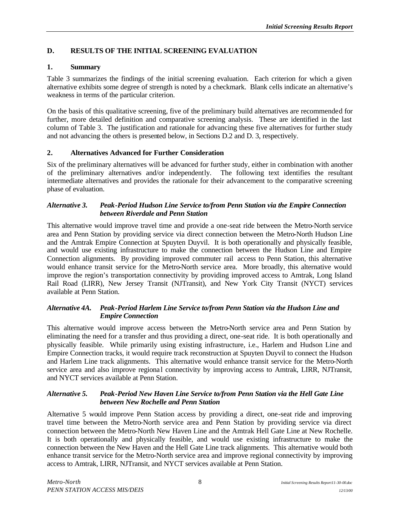# **D. RESULTS OF THE INITIAL SCREENING EVALUATION**

## **1. Summary**

Table 3 summarizes the findings of the initial screening evaluation. Each criterion for which a given alternative exhibits some degree of strength is noted by a checkmark. Blank cells indicate an alternative's weakness in terms of the particular criterion.

On the basis of this qualitative screening, five of the preliminary build alternatives are recommended for further, more detailed definition and comparative screening analysis. These are identified in the last column of Table 3. The justification and rationale for advancing these five alternatives for further study and not advancing the others is presented below, in Sections D.2 and D. 3, respectively.

## **2. Alternatives Advanced for Further Consideration**

Six of the preliminary alternatives will be advanced for further study, either in combination with another of the preliminary alternatives and/or independently. The following text identifies the resultant intermediate alternatives and provides the rationale for their advancement to the comparative screening phase of evaluation.

#### *Alternative 3. Peak-Period Hudson Line Service to/from Penn Station via the Empire Connection between Riverdale and Penn Station*

This alternative would improve travel time and provide a one-seat ride between the Metro-North service area and Penn Station by providing service via direct connection between the Metro-North Hudson Line and the Amtrak Empire Connection at Spuyten Duyvil. It is both operationally and physically feasible, and would use existing infrastructure to make the connection between the Hudson Line and Empire Connection alignments. By providing improved commuter rail access to Penn Station, this alternative would enhance transit service for the Metro-North service area. More broadly, this alternative would improve the region's transportation connectivity by providing improved access to Amtrak, Long Island Rail Road (LIRR), New Jersey Transit (NJTransit), and New York City Transit (NYCT) services available at Penn Station.

#### *Alternative 4A. Peak-Period Harlem Line Service to/from Penn Station via the Hudson Line and Empire Connection*

This alternative would improve access between the Metro-North service area and Penn Station by eliminating the need for a transfer and thus providing a direct, one-seat ride. It is both operationally and physically feasible. While primarily using existing infrastructure, i.e., Harlem and Hudson Line and Empire Connection tracks, it would require track reconstruction at Spuyten Duyvil to connect the Hudson and Harlem Line track alignments. This alternative would enhance transit service for the Metro-North service area and also improve regional connectivity by improving access to Amtrak, LIRR, NJTransit, and NYCT services available at Penn Station.

#### *Alternative 5. Peak-Period New Haven Line Service to/from Penn Station via the Hell Gate Line between New Rochelle and Penn Station*

Alternative 5 would improve Penn Station access by providing a direct, one-seat ride and improving travel time between the Metro-North service area and Penn Station by providing service via direct connection between the Metro-North New Haven Line and the Amtrak Hell Gate Line at New Rochelle. It is both operationally and physically feasible, and would use existing infrastructure to make the connection between the New Haven and the Hell Gate Line track alignments. This alternative would both enhance transit service for the Metro-North service area and improve regional connectivity by improving access to Amtrak, LIRR, NJTransit, and NYCT services available at Penn Station.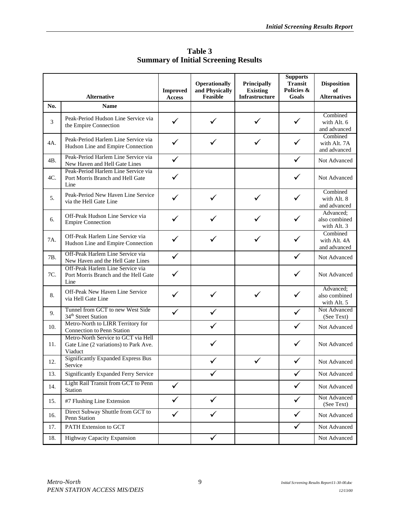|     |                                                                                         | <b>Improved</b> | Operationally<br>and Physically | Principally<br><b>Existing</b> | <b>Supports</b><br><b>Transit</b><br>Policies & | <b>Disposition</b><br>of                  |
|-----|-----------------------------------------------------------------------------------------|-----------------|---------------------------------|--------------------------------|-------------------------------------------------|-------------------------------------------|
| No. | <b>Alternative</b><br><b>Name</b>                                                       | <b>Access</b>   | Feasible                        | Infrastructure                 | Goals                                           | <b>Alternatives</b>                       |
|     |                                                                                         |                 |                                 |                                |                                                 | Combined                                  |
| 3   | Peak-Period Hudson Line Service via<br>the Empire Connection                            |                 | ✓                               |                                | ✓                                               | with Alt. 6<br>and advanced               |
| 4A. | Peak-Period Harlem Line Service via<br>Hudson Line and Empire Connection                | ✓               | ✓                               |                                | ✓                                               | Combined<br>with Alt. 7A<br>and advanced  |
| 4B. | Peak-Period Harlem Line Service via<br>New Haven and Hell Gate Lines                    | $\checkmark$    |                                 |                                | $\checkmark$                                    | Not Advanced                              |
| 4C. | Peak-Period Harlem Line Service via<br>Port Morris Branch and Hell Gate<br>Line         |                 |                                 |                                | ✓                                               | Not Advanced                              |
| 5.  | Peak-Period New Haven Line Service<br>via the Hell Gate Line                            | $\checkmark$    | $\checkmark$                    |                                | $\checkmark$                                    | Combined<br>with Alt. 8<br>and advanced   |
| 6.  | Off-Peak Hudson Line Service via<br><b>Empire Connection</b>                            | ✓               |                                 |                                |                                                 | Advanced;<br>also combined<br>with Alt. 3 |
| 7A. | Off-Peak Harlem Line Service via<br>Hudson Line and Empire Connection                   |                 | $\checkmark$                    |                                | ✓                                               | Combined<br>with Alt. 4A<br>and advanced  |
| 7B. | Off-Peak Harlem Line Service via<br>New Haven and the Hell Gate Lines                   | $\checkmark$    |                                 |                                | $\checkmark$                                    | Not Advanced                              |
| 7C. | Off-Peak Harlem Line Service via<br>Port Morris Branch and the Hell Gate<br>Line        |                 |                                 |                                |                                                 | Not Advanced                              |
| 8.  | Off-Peak New Haven Line Service<br>via Hell Gate Line                                   |                 | ✓                               |                                | ✓                                               | Advanced;<br>also combined<br>with Alt. 5 |
| 9.  | Tunnel from GCT to new West Side<br>34 <sup>th</sup> Street Station                     | ✓               | ✓                               |                                | ✓                                               | Not Advanced<br>(See Text)                |
| 10. | Metro-North to LIRR Territory for<br>Connection to Penn Station                         |                 |                                 |                                | ✓                                               | Not Advanced                              |
| 11. | Metro-North Service to GCT via Hell<br>Gate Line (2 variations) to Park Ave.<br>Viaduct |                 |                                 |                                |                                                 | Not Advanced                              |
| 12. | <b>Significantly Expanded Express Bus</b><br>Service                                    |                 |                                 |                                |                                                 | Not Advanced                              |
| 13. | <b>Significantly Expanded Ferry Service</b>                                             |                 |                                 |                                | ✓                                               | Not Advanced                              |
| 14. | Light Rail Transit from GCT to Penn<br>Station                                          | $\checkmark$    |                                 |                                | $\checkmark$                                    | Not Advanced                              |
| 15. | #7 Flushing Line Extension                                                              | ✓               | $\checkmark$                    |                                | $\checkmark$                                    | Not Advanced<br>(See Text)                |
| 16. | Direct Subway Shuttle from GCT to<br>Penn Station                                       | $\checkmark$    | $\checkmark$                    |                                | $\checkmark$                                    | Not Advanced                              |
| 17. | PATH Extension to GCT                                                                   |                 |                                 |                                | ✓                                               | Not Advanced                              |
| 18. | <b>Highway Capacity Expansion</b>                                                       |                 | ✓                               |                                |                                                 | Not Advanced                              |

**Table 3 Summary of Initial Screening Results**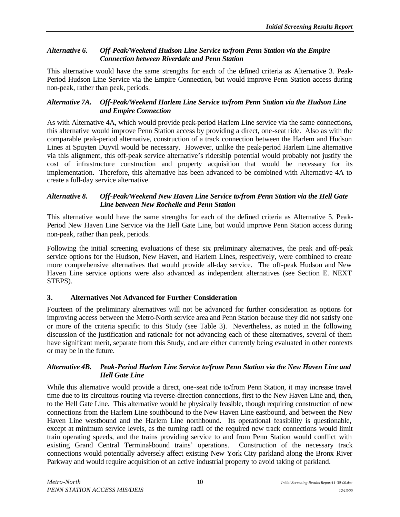#### *Alternative 6. Off-Peak/Weekend Hudson Line Service to/from Penn Station via the Empire Connection between Riverdale and Penn Station*

This alternative would have the same strengths for each of the defined criteria as Alternative 3. Peak-Period Hudson Line Service via the Empire Connection, but would improve Penn Station access during non-peak, rather than peak, periods.

#### *Alternative 7A. Off-Peak/Weekend Harlem Line Service to/from Penn Station via the Hudson Line and Empire Connection*

As with Alternative 4A, which would provide peak-period Harlem Line service via the same connections, this alternative would improve Penn Station access by providing a direct, one-seat ride. Also as with the comparable peak-period alternative, construction of a track connection between the Harlem and Hudson Lines at Spuyten Duyvil would be necessary. However, unlike the peak-period Harlem Line alternative via this alignment, this off-peak service alternative's ridership potential would probably not justify the cost of infrastructure construction and property acquisition that would be necessary for its implementation. Therefore, this alternative has been advanced to be combined with Alternative 4A to create a full-day service alternative.

#### *Alternative 8. Off-Peak/Weekend New Haven Line Service to/from Penn Station via the Hell Gate Line between New Rochelle and Penn Station*

This alternative would have the same strengths for each of the defined criteria as Alternative 5. Peak-Period New Haven Line Service via the Hell Gate Line, but would improve Penn Station access during non-peak, rather than peak, periods.

Following the initial screening evaluations of these six preliminary alternatives, the peak and off-peak service options for the Hudson, New Haven, and Harlem Lines, respectively, were combined to create more comprehensive alternatives that would provide all-day service. The off-peak Hudson and New Haven Line service options were also advanced as independent alternatives (see Section E. NEXT STEPS).

## **3. Alternatives Not Advanced for Further Consideration**

Fourteen of the preliminary alternatives will not be advanced for further consideration as options for improving access between the Metro-North service area and Penn Station because they did not satisfy one or more of the criteria specific to this Study (see Table 3). Nevertheless, as noted in the following discussion of the justification and rationale for not advancing each of these alternatives, several of them have significant merit, separate from this Study, and are either currently being evaluated in other contexts or may be in the future.

#### *Alternative 4B. Peak-Period Harlem Line Service to/from Penn Station via the New Haven Line and Hell Gate Line*

While this alternative would provide a direct, one-seat ride to/from Penn Station, it may increase travel time due to its circuitous routing via reverse-direction connections, first to the New Haven Line and, then, to the Hell Gate Line. This alternative would be physically feasible, though requiring construction of new connections from the Harlem Line southbound to the New Haven Line eastbound, and between the New Haven Line westbound and the Harlem Line northbound. Its operational feasibility is questionable, except at minimum service levels, as the turning radii of the required new track connections would limit train operating speeds, and the trains providing service to and from Penn Station would conflict with existing Grand Central Terminal-bound trains' operations. Construction of the necessary track connections would potentially adversely affect existing New York City parkland along the Bronx River Parkway and would require acquisition of an active industrial property to avoid taking of parkland.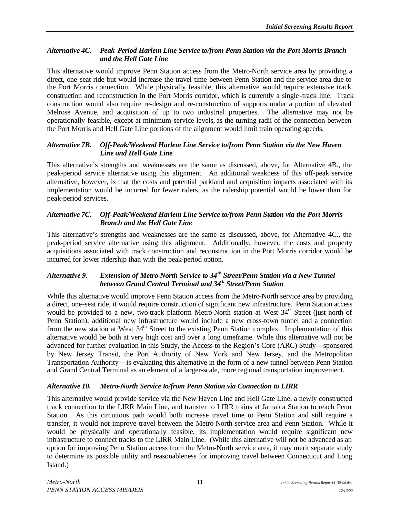### *Alternative 4C. Peak-Period Harlem Line Service to/from Penn Station via the Port Morris Branch and the Hell Gate Line*

This alternative would improve Penn Station access from the Metro-North service area by providing a direct, one-seat ride but would increase the travel time between Penn Station and the service area due to the Port Morris connection. While physically feasible, this alternative would require extensive track construction and reconstruction in the Port Morris corridor, which is currently a single -track line. Track construction would also require re-design and re-construction of supports under a portion of elevated Melrose Avenue, and acquisition of up to two industrial properties. The alternative may not be operationally feasible, except at minimum service levels, as the turning radii of the connection between the Port Morris and Hell Gate Line portions of the alignment would limit train operating speeds.

#### *Alternative 7B. Off-Peak/Weekend Harlem Line Service to/from Penn Station via the New Haven Line and Hell Gate Line*

This alternative's strengths and weaknesses are the same as discussed, above, for Alternative 4B., the peak-period service alternative using this alignment. An additional weakness of this off-peak service alternative, however, is that the costs and potential parkland and acquisition impacts associated with its implementation would be incurred for fewer riders, as the ridership potential would be lower than for peak-period services.

#### *Alternative 7C. Off-Peak/Weekend Harlem Line Service to/from Penn Station via the Port Morris Branch and the Hell Gate Line*

This alternative's strengths and weaknesses are the same as discussed, above, for Alternative 4C., the peak-period service alternative using this alignment. Additionally, however, the costs and property acquisitions associated with track construction and reconstruction in the Port Morris corridor would be incurred for lower ridership than with the peak-period option.

#### *Alternative 9. Extension of Metro-North Service to 34th Street/Penn Station via a New Tunnel between Grand Central Terminal and 34th Street/Penn Station*

While this alternative would improve Penn Station access from the Metro-North service area by providing a direct, one-seat ride, it would require construction of significant new infrastructure. Penn Station access would be provided to a new, two-track platform Metro-North station at West 34<sup>th</sup> Street (just north of Penn Station); additional new infrastructure would include a new cross-town tunnel and a connection from the new station at West 34<sup>th</sup> Street to the existing Penn Station complex. Implementation of this alternative would be both at very high cost and over a long timeframe. While this alternative will not be advanced for further evaluation in this Study, the Access to the Region's Core (ARC) Study—sponsored by New Jersey Transit, the Port Authority of New York and New Jersey, and the Metropolitan Transportation Authority—is evaluating this alternative in the form of a new tunnel between Penn Station and Grand Central Terminal as an element of a larger-scale, more regional transportation improvement.

#### *Alternative 10. Metro-North Service to/from Penn Station via Connection to LIRR*

This alternative would provide service via the New Haven Line and Hell Gate Line, a newly constructed track connection to the LIRR Main Line, and transfer to LIRR trains at Jamaica Station to reach Penn Station. As this circuitous path would both increase travel time to Penn Station and still require a transfer, it would not improve travel between the Metro-North service area and Penn Station. While it would be physically and operationally feasible, its implementation would require significant new infrastructure to connect tracks to the LIRR Main Line. (While this alternative will not be advanced as an option for improving Penn Station access from the Metro-North service area, it may merit separate study to determine its possible utility and reasonableness for improving travel between Connecticut and Long Island.)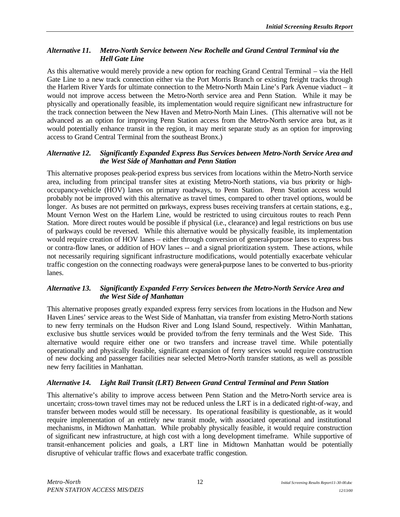### *Alternative 11. Metro-North Service between New Rochelle and Grand Central Terminal via the Hell Gate Line*

As this alternative would merely provide a new option for reaching Grand Central Terminal – via the Hell Gate Line to a new track connection either via the Port Morris Branch or existing freight tracks through the Harlem River Yards for ultimate connection to the Metro-North Main Line's Park Avenue viaduct – it would not improve access between the Metro-North service area and Penn Station. While it may be physically and operationally feasible, its implementation would require significant new infrastructure for the track connection between the New Haven and Metro-North Main Lines. (This alternative will not be advanced as an option for improving Penn Station access from the Metro-North service area but, as it would potentially enhance transit in the region, it may merit separate study as an option for improving access to Grand Central Terminal from the southeast Bronx.)

#### *Alternative 12. Significantly Expanded Express Bus Services between Metro-North Service Area and the West Side of Manhattan and Penn Station*

This alternative proposes peak-period express bus services from locations within the Metro-North service area, including from principal transfer sites at existing Metro-North stations, via bus priority or highoccupancy-vehicle (HOV) lanes on primary roadways, to Penn Station. Penn Station access would probably not be improved with this alternative as travel times, compared to other travel options, would be longer. As buses are not permitted on parkways, express buses receiving transfers at certain stations, e.g., Mount Vernon West on the Harlem Line, would be restricted to using circuitous routes to reach Penn Station. More direct routes would be possible if physical (i.e., clearance) and legal restrictions on bus use of parkways could be reversed. While this alternative would be physically feasible, its implementation would require creation of HOV lanes – either through conversion of general-purpose lanes to express bus or contra-flow lanes, or addition of HOV lanes -- and a signal prioritization system. These actions, while not necessarily requiring significant infrastructure modifications, would potentially exacerbate vehicular traffic congestion on the connecting roadways were general-purpose lanes to be converted to bus-priority lanes.

#### *Alternative 13. Significantly Expanded Ferry Services between the Metro-North Service Area and the West Side of Manhattan*

This alternative proposes greatly expanded express ferry services from locations in the Hudson and New Haven Lines' service areas to the West Side of Manhattan, via transfer from existing Metro-North stations to new ferry terminals on the Hudson River and Long Island Sound, respectively. Within Manhattan, exclusive bus shuttle services would be provided to/from the ferry terminals and the West Side. This alternative would require either one or two transfers and increase travel time. While potentially operationally and physically feasible, significant expansion of ferry services would require construction of new docking and passenger facilities near selected Metro-North transfer stations, as well as possible new ferry facilities in Manhattan.

#### *Alternative 14. Light Rail Transit (LRT) Between Grand Central Terminal and Penn Station*

This alternative's ability to improve access between Penn Station and the Metro-North service area is uncertain; cross-town travel times may not be reduced unless the LRT is in a dedicated right-of-way, and transfer between modes would still be necessary. Its operational feasibility is questionable, as it would require implementation of an entirely new transit mode, with associated operational and institutional mechanisms, in Midtown Manhattan. While probably physically feasible, it would require construction of significant new infrastructure, at high cost with a long development timeframe. While supportive of transit-enhancement policies and goals, a LRT line in Midtown Manhattan would be potentially disruptive of vehicular traffic flows and exacerbate traffic congestion.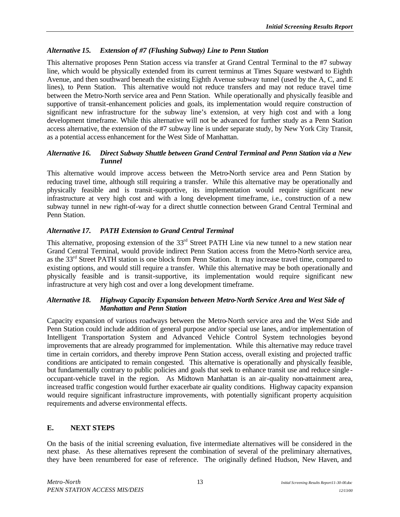# *Alternative 15. Extension of #7 (Flushing Subway) Line to Penn Station*

This alternative proposes Penn Station access via transfer at Grand Central Terminal to the #7 subway line, which would be physically extended from its current terminus at Times Square westward to Eighth Avenue, and then southward beneath the existing Eighth Avenue subway tunnel (used by the A, C, and E lines), to Penn Station. This alternative would not reduce transfers and may not reduce travel time between the Metro-North service area and Penn Station. While operationally and physically feasible and supportive of transit-enhancement policies and goals, its implementation would require construction of significant new infrastructure for the subway line's extension, at very high cost and with a long development timeframe. While this alternative will not be advanced for further study as a Penn Station access alternative, the extension of the #7 subway line is under separate study, by New York City Transit, as a potential access enhancement for the West Side of Manhattan.

#### *Alternative 16. Direct Subway Shuttle between Grand Central Terminal and Penn Station via a New Tunnel*

This alternative would improve access between the Metro-North service area and Penn Station by reducing travel time, although still requiring a transfer. While this alternative may be operationally and physically feasible and is transit-supportive, its implementation would require significant new infrastructure at very high cost and with a long development timeframe, i.e., construction of a new subway tunnel in new right-of-way for a direct shuttle connection between Grand Central Terminal and Penn Station.

## *Alternative 17. PATH Extension to Grand Central Terminal*

This alternative, proposing extension of the 33<sup>rd</sup> Street PATH Line via new tunnel to a new station near Grand Central Terminal, would provide indirect Penn Station access from the Metro-North service area, as the 33<sup>rd</sup> Street PATH station is one block from Penn Station. It may increase travel time, compared to existing options, and would still require a transfer. While this alternative may be both operationally and physically feasible and is transit-supportive, its implementation would require significant new infrastructure at very high cost and over a long development timeframe.

#### *Alternative 18. Highway Capacity Expansion between Metro-North Service Area and West Side of Manhattan and Penn Station*

Capacity expansion of various roadways between the Metro-North service area and the West Side and Penn Station could include addition of general purpose and/or special use lanes, and/or implementation of Intelligent Transportation System and Advanced Vehicle Control System technologies beyond improvements that are already programmed for implementation. While this alternative may reduce travel time in certain corridors, and thereby improve Penn Station access, overall existing and projected traffic conditions are anticipated to remain congested. This alternative is operationally and physically feasible, but fundamentally contrary to public policies and goals that seek to enhance transit use and reduce single occupant-vehicle travel in the region. As Midtown Manhattan is an air-quality non-attainment area, increased traffic congestion would further exacerbate air quality conditions. Highway capacity expansion would require significant infrastructure improvements, with potentially significant property acquisition requirements and adverse environmental effects.

# **E. NEXT STEPS**

On the basis of the initial screening evaluation, five intermediate alternatives will be considered in the next phase. As these alternatives represent the combination of several of the preliminary alternatives, they have been renumbered for ease of reference. The originally defined Hudson, New Haven, and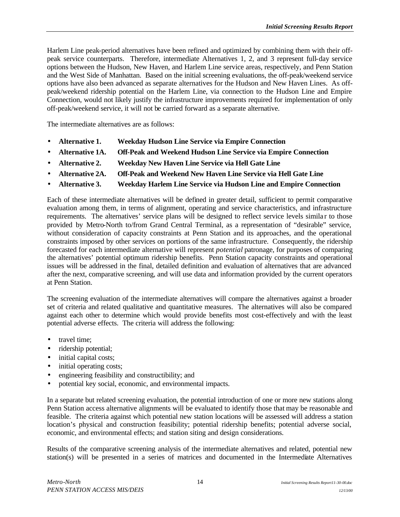Harlem Line peak-period alternatives have been refined and optimized by combining them with their offpeak service counterparts. Therefore, intermediate Alternatives 1, 2, and 3 represent full-day service options between the Hudson, New Haven, and Harlem Line service areas, respectively, and Penn Station and the West Side of Manhattan. Based on the initial screening evaluations, the off-peak/weekend service options have also been advanced as separate alternatives for the Hudson and New Haven Lines. As offpeak/weekend ridership potential on the Harlem Line, via connection to the Hudson Line and Empire Connection, would not likely justify the infrastructure improvements required for implementation of only off-peak/weekend service, it will not be carried forward as a separate alternative.

The intermediate alternatives are as follows:

- **Alternative 1. Weekday Hudson Line Service via Empire Connection**
- **Alternative 1A. Off-Peak and Weekend Hudson Line Service via Empire Connection**
- **Alternative 2. Weekday New Haven Line Service via Hell Gate Line**
- **Alternative 2A. Off-Peak and Weekend New Haven Line Service via Hell Gate Line**
- **Alternative 3. Weekday Harlem Line Service via Hudson Line and Empire Connection**

Each of these intermediate alternatives will be defined in greater detail, sufficient to permit comparative evaluation among them, in terms of alignment, operating and service characteristics, and infrastructure requirements. The alternatives' service plans will be designed to reflect service levels simila r to those provided by Metro-North to/from Grand Central Terminal, as a representation of "desirable" service, without consideration of capacity constraints at Penn Station and its approaches, and the operational constraints imposed by other services on portions of the same infrastructure. Consequently, the ridership forecasted for each intermediate alternative will represent *potential* patronage, for purposes of comparing the alternatives' potential optimum ridership benefits. Penn Station capacity constraints and operational issues will be addressed in the final, detailed definition and evaluation of alternatives that are advanced after the next, comparative screening, and will use data and information provided by the current operators at Penn Station.

The screening evaluation of the intermediate alternatives will compare the alternatives against a broader set of criteria and related qualitative and quantitative measures. The alternatives will also be compared against each other to determine which would provide benefits most cost-effectively and with the least potential adverse effects. The criteria will address the following:

- travel time:
- ridership potential;
- initial capital costs;
- initial operating costs;
- engineering feasibility and constructibility; and
- potential key social, economic, and environmental impacts.

In a separate but related screening evaluation, the potential introduction of one or more new stations along Penn Station access alternative alignments will be evaluated to identify those that may be reasonable and feasible. The criteria against which potential new station locations will be assessed will address a station location's physical and construction feasibility; potential ridership benefits; potential adverse social, economic, and environmental effects; and station siting and design considerations.

Results of the comparative screening analysis of the intermediate alternatives and related, potential new station(s) will be presented in a series of matrices and documented in the Intermediate Alternatives